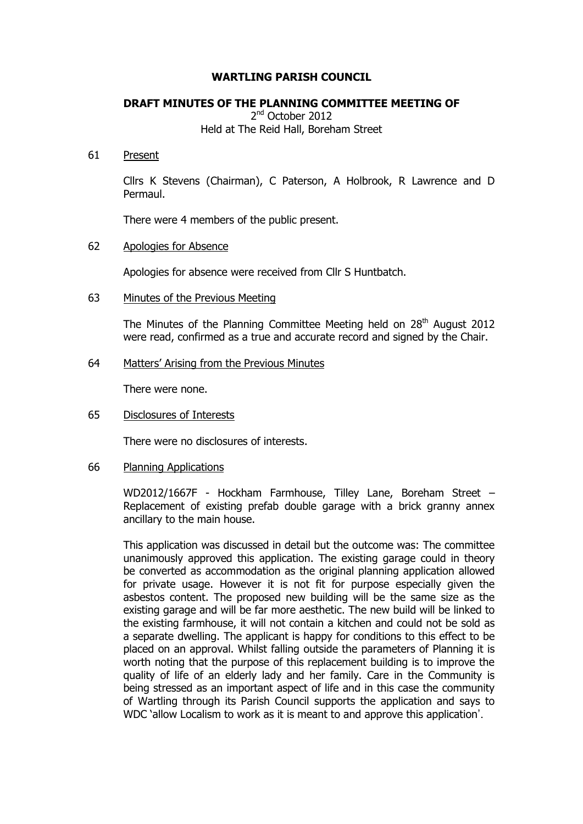## **WARTLING PARISH COUNCIL**

## **DRAFT MINUTES OF THE PLANNING COMMITTEE MEETING OF**

2<sup>nd</sup> October 2012 Held at The Reid Hall, Boreham Street

#### 61 Present

Cllrs K Stevens (Chairman), C Paterson, A Holbrook, R Lawrence and D Permaul.

There were 4 members of the public present.

#### 62 Apologies for Absence

Apologies for absence were received from Cllr S Huntbatch.

## 63 Minutes of the Previous Meeting

The Minutes of the Planning Committee Meeting held on  $28<sup>th</sup>$  August 2012 were read, confirmed as a true and accurate record and signed by the Chair.

## 64 Matters' Arising from the Previous Minutes

There were none.

#### 65 Disclosures of Interests

There were no disclosures of interests.

#### 66 Planning Applications

WD2012/1667F - Hockham Farmhouse, Tilley Lane, Boreham Street – Replacement of existing prefab double garage with a brick granny annex ancillary to the main house.

This application was discussed in detail but the outcome was: The committee unanimously approved this application. The existing garage could in theory be converted as accommodation as the original planning application allowed for private usage. However it is not fit for purpose especially given the asbestos content. The proposed new building will be the same size as the existing garage and will be far more aesthetic. The new build will be linked to the existing farmhouse, it will not contain a kitchen and could not be sold as a separate dwelling. The applicant is happy for conditions to this effect to be placed on an approval. Whilst falling outside the parameters of Planning it is worth noting that the purpose of this replacement building is to improve the quality of life of an elderly lady and her family. Care in the Community is being stressed as an important aspect of life and in this case the community of Wartling through its Parish Council supports the application and says to WDC 'allow Localism to work as it is meant to and approve this application'.